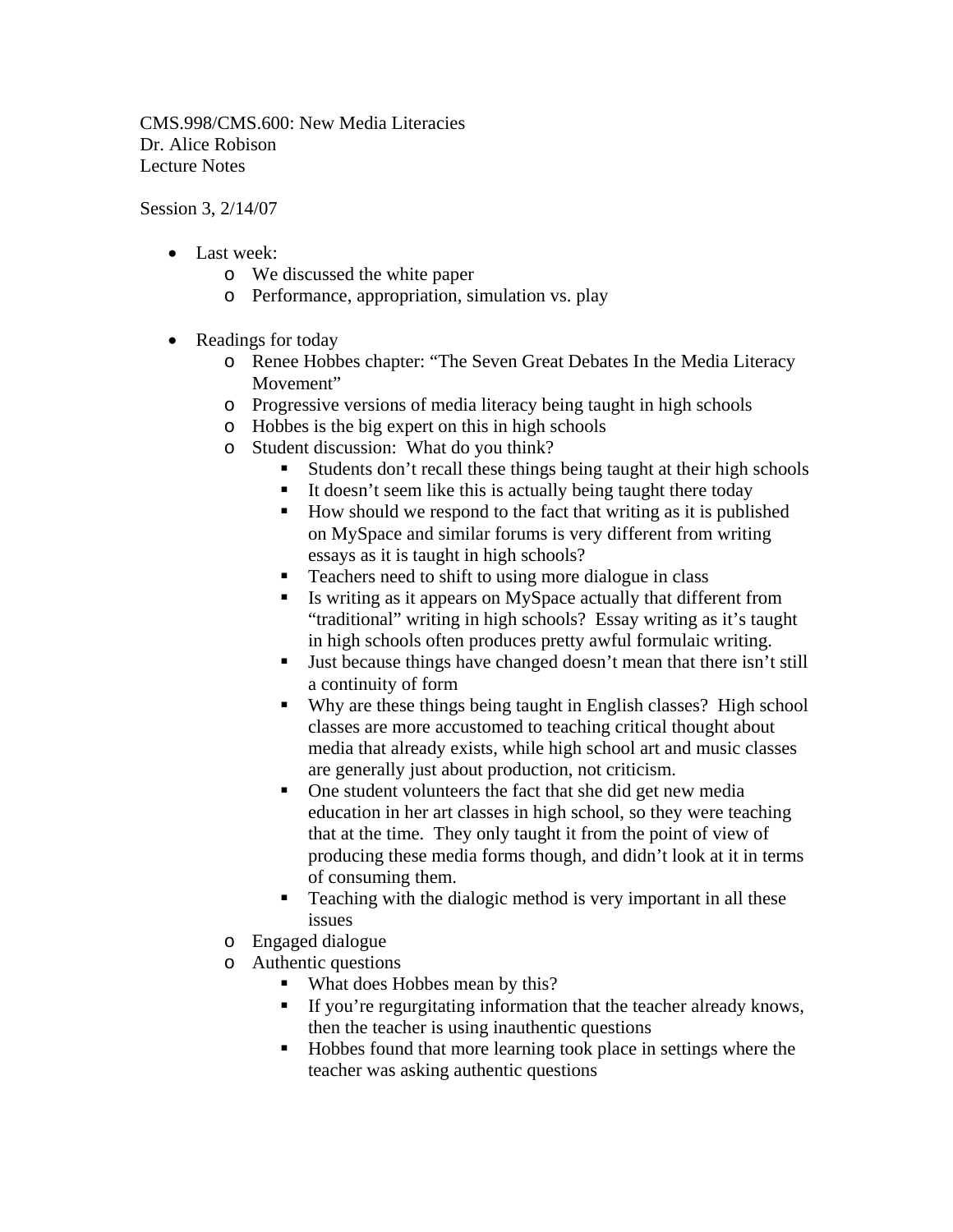CMS.998/CMS.600: New Media Literacies Dr. Alice Robison Lecture Notes

Session 3, 2/14/07

- Last week:
	- o We discussed the white paper
	- o Performance, appropriation, simulation vs. play
- Readings for today
	- o Renee Hobbes chapter: "The Seven Great Debates In the Media Literacy Movement"
	- o Progressive versions of media literacy being taught in high schools
	- o Hobbes is the big expert on this in high schools
	- o Student discussion: What do you think?
		- Students don't recall these things being taught at their high schools
		- $\blacksquare$  It doesn't seem like this is actually being taught there today
		- How should we respond to the fact that writing as it is published on MySpace and similar forums is very different from writing essays as it is taught in high schools?
		- Teachers need to shift to using more dialogue in class
		- Is writing as it appears on MySpace actually that different from "traditional" writing in high schools? Essay writing as it's taught in high schools often produces pretty awful formulaic writing.
		- Uust because things have changed doesn't mean that there isn't still a continuity of form
		- Why are these things being taught in English classes? High school classes are more accustomed to teaching critical thought about media that already exists, while high school art and music classes are generally just about production, not criticism.
		- One student volunteers the fact that she did get new media education in her art classes in high school, so they were teaching that at the time. They only taught it from the point of view of producing these media forms though, and didn't look at it in terms of consuming them.
		- **Teaching with the dialogic method is very important in all these** issues
	- o Engaged dialogue
	- o Authentic questions
		- What does Hobbes mean by this?
		- If you're regurgitating information that the teacher already knows, then the teacher is using inauthentic questions
		- Hobbes found that more learning took place in settings where the teacher was asking authentic questions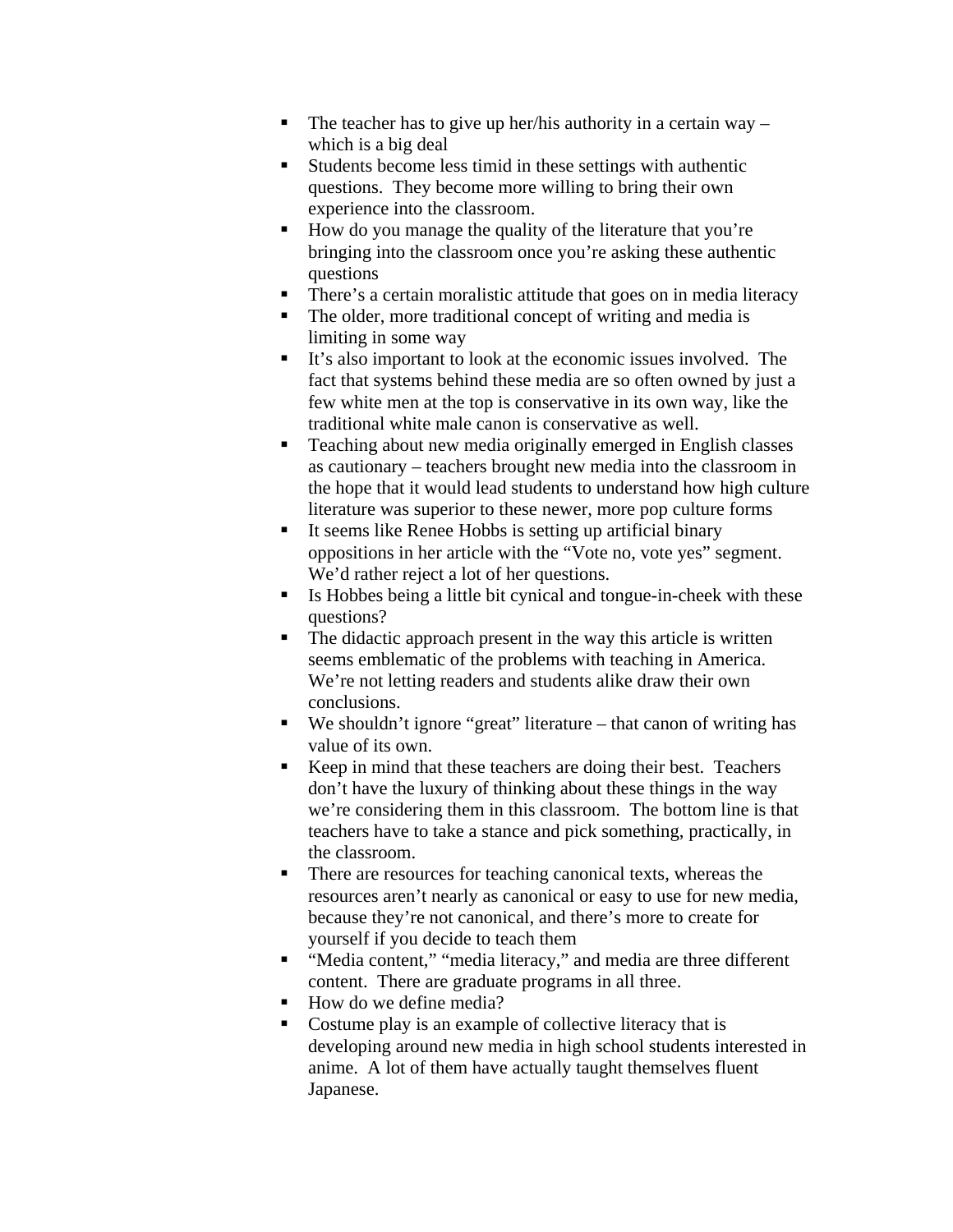- The teacher has to give up her/his authority in a certain way  $$ which is a big deal
- Students become less timid in these settings with authentic questions. They become more willing to bring their own experience into the classroom.
- How do you manage the quality of the literature that you're bringing into the classroom once you're asking these authentic questions
- **There's a certain moralistic attitude that goes on in media literacy**
- The older, more traditional concept of writing and media is limiting in some way
- It's also important to look at the economic issues involved. The fact that systems behind these media are so often owned by just a few white men at the top is conservative in its own way, like the traditional white male canon is conservative as well.
- **Teaching about new media originally emerged in English classes** as cautionary – teachers brought new media into the classroom in the hope that it would lead students to understand how high culture literature was superior to these newer, more pop culture forms
- It seems like Renee Hobbs is setting up artificial binary oppositions in her article with the "Vote no, vote yes" segment. We'd rather reject a lot of her questions.
- Is Hobbes being a little bit cynical and tongue-in-cheek with these questions?
- The didactic approach present in the way this article is written seems emblematic of the problems with teaching in America. We're not letting readers and students alike draw their own conclusions.
- We shouldn't ignore "great" literature that canon of writing has value of its own.
- Keep in mind that these teachers are doing their best. Teachers don't have the luxury of thinking about these things in the way we're considering them in this classroom. The bottom line is that teachers have to take a stance and pick something, practically, in the classroom.
- There are resources for teaching canonical texts, whereas the resources aren't nearly as canonical or easy to use for new media, because they're not canonical, and there's more to create for yourself if you decide to teach them
- "Media content," "media literacy," and media are three different content. There are graduate programs in all three.
- $\blacksquare$  How do we define media?
- Costume play is an example of collective literacy that is developing around new media in high school students interested in anime. A lot of them have actually taught themselves fluent Japanese.